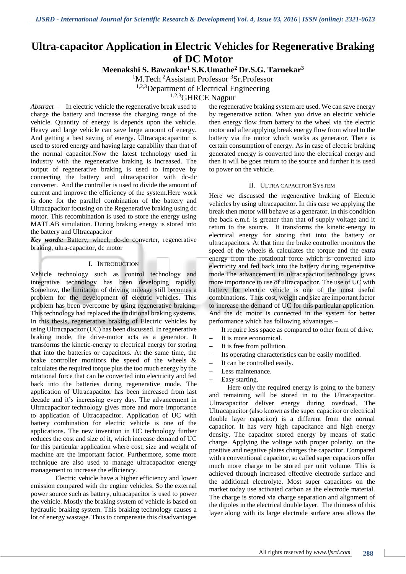# **Ultra-capacitor Application in Electric Vehicles for Regenerative Braking of DC Motor**

**Meenakshi S. Bawankar<sup>1</sup> S.K.Umathe<sup>2</sup> Dr.S.G. Tarnekar<sup>3</sup>**

<sup>1</sup>M.Tech <sup>2</sup>Assistant Professor <sup>3</sup>Sr.Professor

<sup>1,2,3</sup>Department of Electrical Engineering

1,2,3GHRCE Nagpur

*Abstract—* In electric vehicle the regenerative break used to charge the battery and increase the charging range of the vehicle. Quantity of energy is depends upon the vehicle. Heavy and large vehicle can save large amount of energy. And getting a best saving of energy. Ultracapacapacitor is used to stored energy and having large capability than that of the normal capacitor.Now the latest technology used in industry with the regenerative braking is increased. The output of regenerative braking is used to improve by connecting the battery and ultracapacitor with dc-dc converter. And the controller is used to divide the amount of current and improve the efficiency of the system.Here work is done for the parallel combination of the battery and Ultracapacitor focusing on the Regenerative braking using dc motor. This recombination is used to store the energy using MATLAB simulation. During braking energy is stored into the battery and Ultracapacitor

*Key words:* Battery, wheel, dc-dc converter, regenerative braking, ultra-capacitor, dc motor

## I. INTRODUCTION

Vehicle technology such as control technology and integrative technology has been developing rapidly. Somehow, the limitation of driving mileage still becomes a problem for the development of electric vehicles. This problem has been overcome by using regenerative braking. This technology had replaced the traditional braking systems. In this thesis, regenerative braking of Electric vehicles by using Ultracapacitor (UC) has been discussed. In regenerative braking mode, the drive-motor acts as a generator. It transforms the kinetic-energy to electrical energy for storing that into the batteries or capacitors. At the same time, the brake controller monitors the speed of the wheels & calculates the required torque plus the too much energy by the rotational force that can be converted into electricity and fed back into the batteries during regenerative mode. The application of Ultracapacitor has been increased from last decade and it's increasing every day. The advancement in Ultracapacitor technology gives more and more importance to application of Ultracapacitor. Application of UC with battery combination for electric vehicle is one of the applications. The new invention in UC technology further reduces the cost and size of it, which increase demand of UC for this particular application where cost, size and weight of machine are the important factor. Furthermore, some more technique are also used to manage ultracapacitor energy management to increase the efficiency.

Electric vehicle have a higher efficiency and lower emission compared with the engine vehicles. So the external power source such as battery, ultracapacitor is used to power the vehicle. Mostly the braking system of vehicle is based on hydraulic braking system. This braking technology causes a lot of energy wastage. Thus to compensate this disadvantages

the regenerative braking system are used. We can save energy by regenerative action. When you drive an electric vehicle then energy flow from battery to the wheel via the electric motor and after applying break energy flow from wheel to the battery via the motor which works as generator. There is certain consumption of energy. As in case of electric braking generated energy is converted into the electrical energy and then it will be goes return to the source and further it is used to power on the vehicle.

## II. ULTRA CAPACITOR SYSTEM

Here we discussed the regenerative braking of Electric vehicles by using ultracapacitor. In this case we applying the break then motor will behave as a generator. In this condition the back e.m.f. is greater than that of supply voltage and it return to the source. It transforms the kinetic-energy to electrical energy for storing that into the battery or ultracapacitors. At that time the brake controller monitors the speed of the wheels  $\&$  calculates the torque and the extra energy from the rotational force which is converted into electricity and fed back into the battery during regenerative mode.The advancement in ultracapacitor technology gives more importance to use of ultracapacitor. The use of UC with battery for electric vehicle is one of the most useful combinations. Thus cost, weight and size are important factor to increase the demand of UC for this particular application. And the dc motor is connected in the system for better performance which has following advantages –

It require less space as compared to other form of drive.

- It is more economical.
- $-$  It is free from pollution.
- Its operating characteristics can be easily modified.
- $-It$  can be controlled easily.
- Less maintenance.
- Easy starting.

Here only the required energy is going to the battery and remaining will be stored in to the Ultracapacitor. Ultracapacitor deliver energy during overload. The Ultracapacitor (also known as the super capacitor or electrical double layer capacitor) is a different from the normal capacitor. It has very high capacitance and high energy density. The capacitor stored energy by means of static charge. Applying the voltage with proper polarity, on the positive and negative plates charges the capacitor. Compared with a conventional capacitor, so called super capacitors offer much more charge to be stored per unit volume. This is achieved through increased effective electrode surface and the additional electrolyte. Most super capacitors on the market today use activated carbon as the electrode material. The charge is stored via charge separation and alignment of the dipoles in the electrical double layer. The thinness of this layer along with its large electrode surface area allows the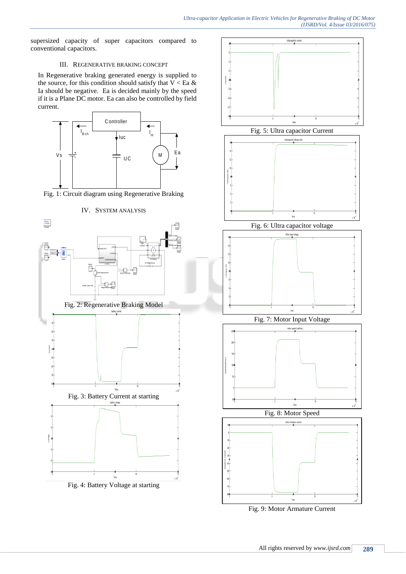supersized capacity of super capacitors compared to conventional capacitors.

## III. REGENERATIVE BRAKING CONCEPT

In Regenerative braking generated energy is supplied to the source, for this condition should satisfy that  $V < Ea \&$ Ia should be negative. Ea is decided mainly by the speed if it is a Plane DC motor. Ea can also be controlled by field current.



Fig. 1: Circuit diagram using Regenerative Braking

IV. SYSTEM ANALYSIS